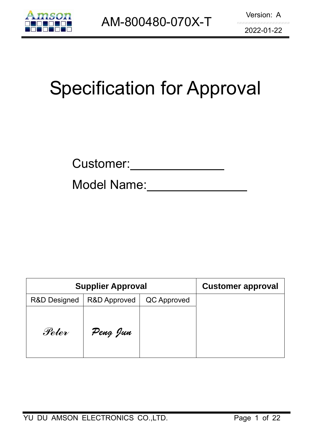

# Specification for Approval

Model Name:

| <b>Supplier Approval</b> | <b>Customer approval</b> |             |  |
|--------------------------|--------------------------|-------------|--|
| <b>R&amp;D Designed</b>  | <b>R&amp;D Approved</b>  | QC Approved |  |
| Peter                    | Peng Jun                 |             |  |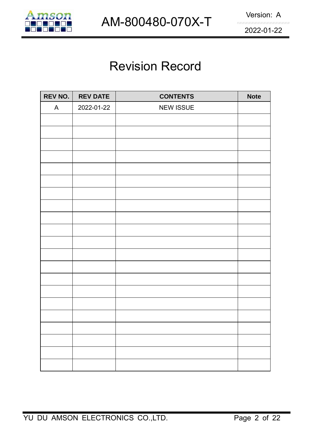

## Revision Record

| REV NO. | <b>REV DATE</b> | <b>CONTENTS</b>  | <b>Note</b> |
|---------|-----------------|------------------|-------------|
| A       | 2022-01-22      | <b>NEW ISSUE</b> |             |
|         |                 |                  |             |
|         |                 |                  |             |
|         |                 |                  |             |
|         |                 |                  |             |
|         |                 |                  |             |
|         |                 |                  |             |
|         |                 |                  |             |
|         |                 |                  |             |
|         |                 |                  |             |
|         |                 |                  |             |
|         |                 |                  |             |
|         |                 |                  |             |
|         |                 |                  |             |
|         |                 |                  |             |
|         |                 |                  |             |
|         |                 |                  |             |
|         |                 |                  |             |
|         |                 |                  |             |
|         |                 |                  |             |
|         |                 |                  |             |
|         |                 |                  |             |
|         |                 |                  |             |
|         |                 |                  |             |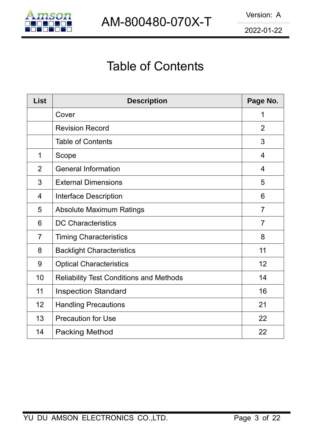

## Table of Contents

| <b>List</b>    | <b>Description</b>                             | Page No.       |
|----------------|------------------------------------------------|----------------|
|                | Cover                                          | 1              |
|                | <b>Revision Record</b>                         | $\overline{2}$ |
|                | <b>Table of Contents</b>                       | 3              |
| 1              | Scope                                          | $\overline{4}$ |
| $\overline{2}$ | <b>General Information</b>                     | $\overline{4}$ |
| 3              | <b>External Dimensions</b>                     | 5              |
| $\overline{4}$ | Interface Description                          | 6              |
| 5              | <b>Absolute Maximum Ratings</b>                | $\overline{7}$ |
| 6              | <b>DC Characteristics</b>                      | $\overline{7}$ |
| $\overline{7}$ | <b>Timing Characteristics</b>                  | 8              |
| 8              | <b>Backlight Characteristics</b>               | 11             |
| 9              | <b>Optical Characteristics</b>                 | 12             |
| 10             | <b>Reliability Test Conditions and Methods</b> | 14             |
| 11             | <b>Inspection Standard</b>                     | 16             |
| 12             | <b>Handling Precautions</b>                    | 21             |
| 13             | <b>Precaution for Use</b>                      | 22             |
| 14             | <b>Packing Method</b>                          | 22             |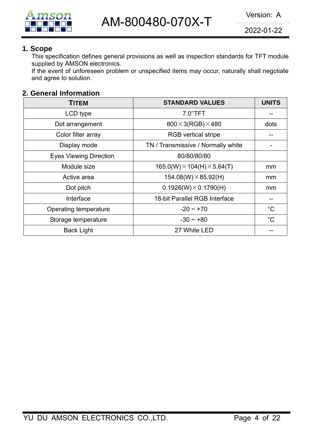

#### **1. Scope**

This specification defines general provisions as well as inspection standards for TFT module supplied by AMSON electronics.

If the event of unforeseen problem or unspecified items may occur, naturally shall negotiate and agree to solution.

#### **2. General Information**

| <b>TITEM</b>                  | <b>STANDARD VALUES</b>                  | <b>UNITS</b> |
|-------------------------------|-----------------------------------------|--------------|
| LCD type                      | 7.0"TFT                                 |              |
| Dot arrangement               | $800\times3(RGB)\times480$              | dots         |
| Color filter array            | <b>RGB</b> vertical stripe              |              |
| Display mode                  | TN / Transmissive / Normally white      |              |
| <b>Eyes Viewing Direction</b> | 80/80/80/80                             |              |
| Module size                   | $165.0(W) \times 104(H) \times 5.64(T)$ | mm           |
| Active area                   | $154.08(W)\times 85.92(H)$              | mm           |
| Dot pitch                     | $0.1926(W) \times 0.1790(H)$            | mm           |
| Interface                     | 18-bit Parallel RGB Interface           |              |
| Operating temperature         | $-20 \sim +70$                          | $^{\circ}C$  |
| Storage temperature           | $-30 \sim +80$                          | $^{\circ}C$  |
| <b>Back Light</b>             | 27 White LED                            |              |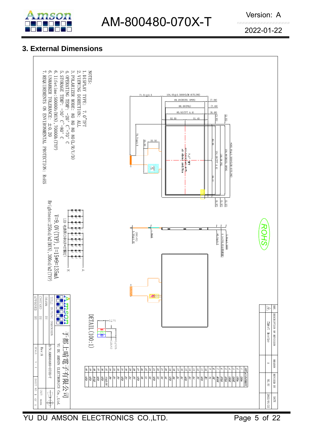

## **3. External Dimensions**

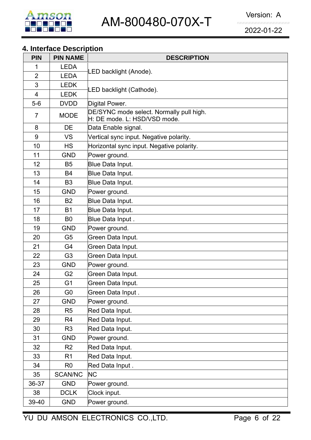

## **4. Interface Description**

| <b>PIN</b>     | <b>PIN NAME</b> | <b>DESCRIPTION</b>                                                       |  |  |  |  |  |
|----------------|-----------------|--------------------------------------------------------------------------|--|--|--|--|--|
| 1              | <b>LEDA</b>     |                                                                          |  |  |  |  |  |
| $\overline{2}$ | <b>LEDA</b>     | LED backlight (Anode).                                                   |  |  |  |  |  |
| 3              | <b>LEDK</b>     | LED backlight (Cathode).                                                 |  |  |  |  |  |
| $\overline{4}$ | <b>LEDK</b>     |                                                                          |  |  |  |  |  |
| $5-6$          | <b>DVDD</b>     | Digital Power.                                                           |  |  |  |  |  |
| $\overline{7}$ | <b>MODE</b>     | DE/SYNC mode select. Normally pull high.<br>H: DE mode. L: HSD/VSD mode. |  |  |  |  |  |
| 8              | DE              | Data Enable signal.                                                      |  |  |  |  |  |
| 9              | <b>VS</b>       | Vertical sync input. Negative polarity.                                  |  |  |  |  |  |
| 10             | <b>HS</b>       | Horizontal sync input. Negative polarity.                                |  |  |  |  |  |
| 11             | <b>GND</b>      | Power ground.                                                            |  |  |  |  |  |
| 12             | <b>B5</b>       | Blue Data Input.                                                         |  |  |  |  |  |
| 13             | <b>B4</b>       | Blue Data Input.                                                         |  |  |  |  |  |
| 14             | B <sub>3</sub>  | Blue Data Input.                                                         |  |  |  |  |  |
| 15             | <b>GND</b>      | Power ground.                                                            |  |  |  |  |  |
| 16             | <b>B2</b>       | Blue Data Input.                                                         |  |  |  |  |  |
| 17             | <b>B1</b>       | Blue Data Input.                                                         |  |  |  |  |  |
| 18             | B <sub>0</sub>  | Blue Data Input.                                                         |  |  |  |  |  |
| 19             | <b>GND</b>      | Power ground.                                                            |  |  |  |  |  |
| 20             | G <sub>5</sub>  | Green Data Input.                                                        |  |  |  |  |  |
| 21             | G4              | Green Data Input.                                                        |  |  |  |  |  |
| 22             | G <sub>3</sub>  | Green Data Input.                                                        |  |  |  |  |  |
| 23             | <b>GND</b>      | Power ground.                                                            |  |  |  |  |  |
| 24             | G <sub>2</sub>  | Green Data Input.                                                        |  |  |  |  |  |
| 25             | G <sub>1</sub>  | Green Data Input.                                                        |  |  |  |  |  |
| 26             | G <sub>0</sub>  | Green Data Input.                                                        |  |  |  |  |  |
| 27             | <b>GND</b>      | Power ground.                                                            |  |  |  |  |  |
| 28             | R <sub>5</sub>  | Red Data Input.                                                          |  |  |  |  |  |
| 29             | R4              | Red Data Input.                                                          |  |  |  |  |  |
| 30             | R <sub>3</sub>  | Red Data Input.                                                          |  |  |  |  |  |
| 31             | <b>GND</b>      | Power ground.                                                            |  |  |  |  |  |
| 32             | R <sub>2</sub>  | Red Data Input.                                                          |  |  |  |  |  |
| 33             | R <sub>1</sub>  | Red Data Input.                                                          |  |  |  |  |  |
| 34             | R <sub>0</sub>  | Red Data Input.                                                          |  |  |  |  |  |
| 35             | <b>SCAN/NC</b>  | <b>NC</b>                                                                |  |  |  |  |  |
| 36-37          | <b>GND</b>      | Power ground.                                                            |  |  |  |  |  |
| 38             | <b>DCLK</b>     | Clock input.                                                             |  |  |  |  |  |
| 39-40          | <b>GND</b>      | Power ground.                                                            |  |  |  |  |  |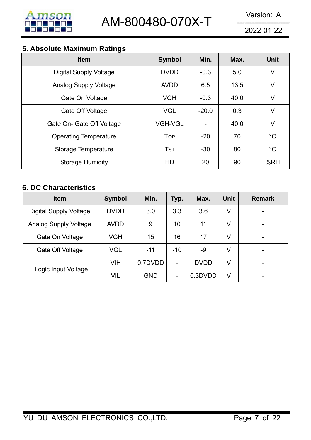

## **5. Absolute Maximum Ratings**

| - - -<br><b>Item</b>          | <b>Symbol</b>  | Min.    | Max. | <b>Unit</b> |
|-------------------------------|----------------|---------|------|-------------|
| <b>Digital Supply Voltage</b> | <b>DVDD</b>    | $-0.3$  | 5.0  | V           |
| <b>Analog Supply Voltage</b>  | <b>AVDD</b>    | 6.5     | 13.5 | V           |
| Gate On Voltage               | <b>VGH</b>     | $-0.3$  | 40.0 | V           |
| Gate Off Voltage              | <b>VGL</b>     | $-20.0$ | 0.3  | V           |
| Gate On- Gate Off Voltage     | <b>VGH-VGL</b> |         | 40.0 | V           |
| <b>Operating Temperature</b>  | <b>TOP</b>     | $-20$   | 70   | $^{\circ}C$ |
| Storage Temperature           | <b>TST</b>     | $-30$   | 80   | $^{\circ}C$ |
| <b>Storage Humidity</b>       | HD             | 20      | 90   | %RH         |

## **6. DC Characteristics**

| <b>Item</b>                   | <b>Symbol</b> | Min.       | Typ.                     | Max.        | <b>Unit</b> | <b>Remark</b> |
|-------------------------------|---------------|------------|--------------------------|-------------|-------------|---------------|
| <b>Digital Supply Voltage</b> | <b>DVDD</b>   | 3.0        | 3.3                      | 3.6         | V           |               |
| <b>Analog Supply Voltage</b>  | <b>AVDD</b>   | 9          | 10                       | 11          | V           | -             |
| Gate On Voltage               | <b>VGH</b>    | 15         | 16                       | 17          | V           | -             |
| Gate Off Voltage              | <b>VGL</b>    | $-11$      | $-10$                    | -9          | V           |               |
|                               | <b>VIH</b>    | 0.7DVDD    | $\overline{\phantom{0}}$ | <b>DVDD</b> | V           | -             |
| Logic Input Voltage           | <b>VIL</b>    | <b>GND</b> | $\overline{\phantom{a}}$ | 0.3DVDD     | V           |               |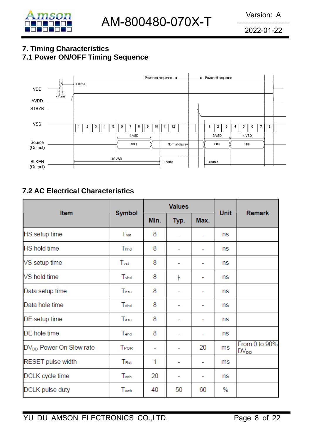

### **7. Timing Characteristics 7.1 Power ON/OFF Timing Sequence**



## **7.2 AC Electrical Characteristics**

| Item                                |                  |      | <b>Values</b> |                          | <b>Unit</b> | <b>Remark</b>              |
|-------------------------------------|------------------|------|---------------|--------------------------|-------------|----------------------------|
|                                     | <b>Symbol</b>    | Min. | Typ.          | Max.                     |             |                            |
| HS setup time                       | Thst             | 8    |               | ۰                        | ns          |                            |
| <b>HS</b> hold time                 | Thhd             | 8    |               | ۰                        | ns          |                            |
| VS setup time                       | $T_{\rm vst}$    | 8    |               | ۰                        | ns          |                            |
| VS hold time                        | Tyhd             | 8    | ŀ             | ۰                        | ns          |                            |
| Data setup time                     | Tdsu             | 8    |               | ۰                        | ns          |                            |
| Data hole time                      | T <sub>dhd</sub> | 8    |               | $\overline{\phantom{0}}$ | ns          |                            |
| DE setup time                       | Tesu             | 8    |               | ۰                        | ns          |                            |
| DE hole time                        | Tehd             | 8    | -             | $\overline{\phantom{0}}$ | ns.         |                            |
| DV <sub>DD</sub> Power On Slew rate | <b>TPOR</b>      | ۰    |               | 20                       | ms          | From 0 to 90%<br>$DV_{DD}$ |
| <b>RESET pulse width</b>            | TRst             | 1    |               | ۰                        | ms          |                            |
| DCLK cycle time                     | Teoh             | 20   | ٠             | -                        | ns          |                            |
| DCLK pulse duty                     | Tewh             | 40   | 50            | 60                       | $\%$        |                            |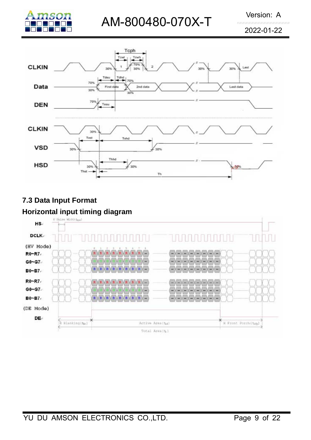2022-01-22





## **7.3 Data Input Format**

#### **Horizontal input timing diagram**

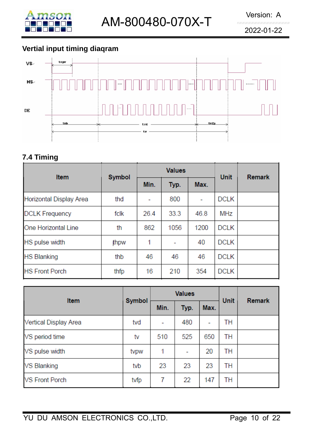

## **Vertial input timing diaqram**



## **7.4 Timing**

| <b>Item</b>             | <b>Symbol</b> |      | <b>Values</b> | <b>Unit</b> | <b>Remark</b> |  |
|-------------------------|---------------|------|---------------|-------------|---------------|--|
|                         |               | Min. | Typ.          | Max.        |               |  |
| Horizontal Display Area | thd           |      | 800           | ۰           | <b>DCLK</b>   |  |
| <b>DCLK Frequency</b>   | fclk          | 26.4 | 33.3          | 46.8        | MHz           |  |
| One Horizontal Line     | th            | 862  | 1056          | 1200        | <b>DCLK</b>   |  |
| HS pulse width          | thpw          | 1    |               | 40          | <b>DCLK</b>   |  |
| <b>HS Blanking</b>      | thb           | 46   | 46            | 46          | <b>DCLK</b>   |  |
| <b>HS Front Porch</b>   | thfp          | 16   | 210           | 354         | <b>DCLK</b>   |  |

| Item                  | <b>Symbol</b> |      | <b>Values</b> | <b>Unit</b>              | <b>Remark</b> |  |
|-----------------------|---------------|------|---------------|--------------------------|---------------|--|
|                       |               | Min. | Typ.          | Max.                     |               |  |
| Vertical Display Area | tvd           |      | 480           | $\overline{\phantom{a}}$ | TН            |  |
| VS period time        | tv            | 510  | 525           | 650                      | TН            |  |
| VS pulse width        | typw          | 1    | ۰             | 20                       | TН            |  |
| <b>VS Blanking</b>    | tyb           | 23   | 23            | 23                       | TН            |  |
| <b>VS Front Porch</b> | tvfp          | 7    | 22            | 147                      | TН            |  |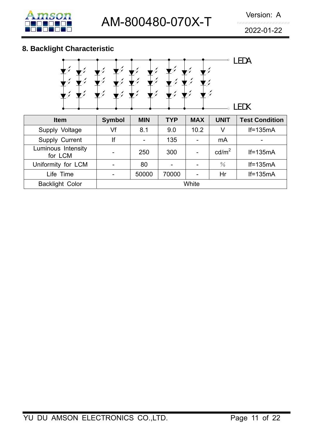

## **8. Backlight Characteristic**



| <b>Item</b>                   | <b>Symbol</b> | <b>MIN</b> | <b>TYP</b> | <b>MAX</b> | <b>UNIT</b>       | <b>Test Condition</b> |
|-------------------------------|---------------|------------|------------|------------|-------------------|-----------------------|
| Supply Voltage                | Vf            | 8.1        | 9.0        | 10.2       | V                 | $If=135mA$            |
| Supply Current                | lf            |            | 135        |            | mA                | -                     |
| Luminous Intensity<br>for LCM |               | 250        | 300        |            | cd/m <sup>2</sup> | $If=135mA$            |
| Uniformity for LCM            |               | 80         |            |            | $\frac{0}{0}$     | $If=135mA$            |
| Life Time                     |               | 50000      | 70000      |            | Hr                | $If=135mA$            |
| <b>Backlight Color</b>        | White         |            |            |            |                   |                       |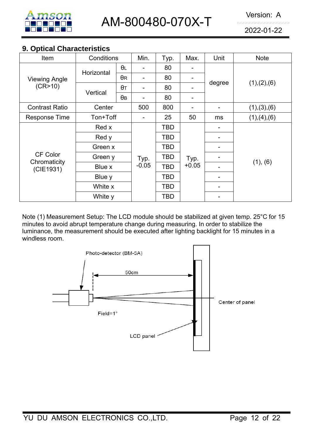

#### **9. Optical Characteristics**

| Item                      | Conditions |            | Min.            | Typ.       | Max.            | Unit   | <b>Note</b>   |  |
|---------------------------|------------|------------|-----------------|------------|-----------------|--------|---------------|--|
| <b>Viewing Angle</b>      |            | $\theta$ L |                 | 80         |                 | degree |               |  |
|                           | Horizontal | $\theta$ R |                 | 80         |                 |        | (1), (2), (6) |  |
| (CR>10)                   |            | $\theta$ T |                 | 80         |                 |        |               |  |
|                           | Vertical   | $\theta$ B |                 | 80         |                 |        |               |  |
| <b>Contrast Ratio</b>     | Center     |            | 500             | 800        |                 |        | (1), (3), (6) |  |
| <b>Response Time</b>      | Ton+Toff   |            |                 | 25         | 50              | ms     | (1), (4), (6) |  |
|                           | Red x      |            |                 | TBD        |                 |        |               |  |
|                           | Red y      |            | Typ.<br>$-0.05$ | TBD        | Typ.<br>$+0.05$ |        | (1), (6)      |  |
|                           | Green x    |            |                 | TBD        |                 |        |               |  |
| <b>CF Color</b>           | Green y    |            |                 | <b>TBD</b> |                 |        |               |  |
| Chromaticity<br>(CIE1931) | Blue x     |            |                 | <b>TBD</b> |                 |        |               |  |
|                           | Blue y     |            |                 | TBD        |                 |        |               |  |
|                           | White x    |            |                 | TBD        |                 |        |               |  |
|                           | White y    |            |                 | <b>TBD</b> |                 |        |               |  |

Note (1) Measurement Setup: The LCD module should be stabilized at given temp. 25°C for 15 minutes to avoid abrupt temperature change during measuring. In order to stabilize the luminance, the measurement should be executed after lighting backlight for 15 minutes in a windless room.

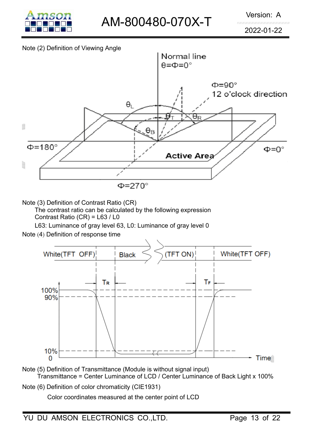

#### Note (2) Definition of Viewing Angle



Note (3) Definition of Contrast Ratio (CR)

The contrast ratio can be calculated by the following expression

Contrast Ratio (CR) = L63 / L0

L63: Luminance of gray level 63, L0: Luminance of gray level 0

Note (4) Definition of response time



Note (5) Definition of Transmittance (Module is without signal input) Transmittance = Center Luminance of LCD / Center Luminance of Back Light x 100%

Note (6) Definition of color chromaticity (CIE1931)

Color coordinates measured at the center point of LCD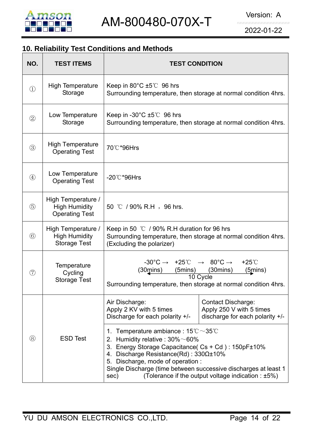

## **10. Reliability Test Conditions and Methods**

| NO.               | <b>TEST ITEMS</b>                                                   | <b>TEST CONDITION</b>                                                                                                                                                                                                                                                                                                                                                                                      |                                                                                   |  |
|-------------------|---------------------------------------------------------------------|------------------------------------------------------------------------------------------------------------------------------------------------------------------------------------------------------------------------------------------------------------------------------------------------------------------------------------------------------------------------------------------------------------|-----------------------------------------------------------------------------------|--|
| $\textcircled{1}$ | <b>High Temperature</b><br>Storage                                  | Keep in $80^{\circ}$ C $\pm 5^{\circ}$ 96 hrs<br>Surrounding temperature, then storage at normal condition 4hrs.                                                                                                                                                                                                                                                                                           |                                                                                   |  |
| (2)               | Low Temperature<br>Storage                                          | Keep in -30 $^{\circ}$ C $\pm$ 5 $^{\circ}$ C 96 hrs<br>Surrounding temperature, then storage at normal condition 4hrs.                                                                                                                                                                                                                                                                                    |                                                                                   |  |
| (3)               | <b>High Temperature</b><br><b>Operating Test</b>                    | 70℃*96Hrs                                                                                                                                                                                                                                                                                                                                                                                                  |                                                                                   |  |
| $\circled{4}$     | Low Temperature<br><b>Operating Test</b>                            | $-20^{\circ}$ C*96Hrs                                                                                                                                                                                                                                                                                                                                                                                      |                                                                                   |  |
| (5)               | High Temperature /<br><b>High Humidity</b><br><b>Operating Test</b> | 50 °C / 90% R.H, 96 hrs.                                                                                                                                                                                                                                                                                                                                                                                   |                                                                                   |  |
| $\circled{6}$     | High Temperature /<br><b>High Humidity</b><br><b>Storage Test</b>   | Keep in 50 $\degree$ C / 90% R.H duration for 96 hrs<br>Surrounding temperature, then storage at normal condition 4hrs.<br>(Excluding the polarizer)                                                                                                                                                                                                                                                       |                                                                                   |  |
| $\circled7$       | Temperature<br>Cycling<br><b>Storage Test</b>                       | $-30^{\circ}$ C $\rightarrow +25^{\circ}$ C $\rightarrow 80^{\circ}$ C $\rightarrow$<br>$+25^{\circ}$ C<br>$(30 \text{mins})$<br>$(5$ mins)<br>$(30$ mins $)$<br>$(5 \text{mins})$<br>10 Cycle<br>Surrounding temperature, then storage at normal condition 4hrs.                                                                                                                                          |                                                                                   |  |
|                   |                                                                     | Air Discharge:<br>Apply 2 KV with 5 times<br>Discharge for each polarity +/-                                                                                                                                                                                                                                                                                                                               | Contact Discharge:<br>Apply 250 V with 5 times<br>discharge for each polarity +/- |  |
| (8)               | <b>ESD Test</b>                                                     | Temperature ambiance : $15^{\circ}\text{C} \sim 35^{\circ}\text{C}$<br>1.<br>2. Humidity relative : $30\% \sim 60\%$<br>3. Energy Storage Capacitance(Cs + Cd): 150pF±10%<br>Discharge Resistance(Rd): $330\Omega \pm 10\%$<br>4.<br>Discharge, mode of operation :<br>5.<br>Single Discharge (time between successive discharges at least 1<br>(Tolerance if the output voltage indication : ±5%)<br>sec) |                                                                                   |  |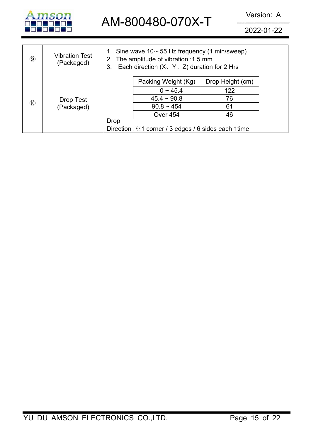

2022-01-22

| $\circled{9}$  | <b>Vibration Test</b><br>(Packaged) | 1. Sine wave $10 \sim 55$ Hz frequency (1 min/sweep)<br>2. The amplitude of vibration : 1.5 mm<br>Each direction $(X, Y, Z)$ duration for 2 Hrs<br>3. |                     |                  |  |
|----------------|-------------------------------------|-------------------------------------------------------------------------------------------------------------------------------------------------------|---------------------|------------------|--|
|                |                                     |                                                                                                                                                       | Packing Weight (Kg) | Drop Height (cm) |  |
| $\circled{10}$ | Drop Test<br>(Packaged)             |                                                                                                                                                       | $0 \sim 45.4$       | 122              |  |
|                |                                     |                                                                                                                                                       | $45.4 \sim 90.8$    | 76               |  |
|                |                                     |                                                                                                                                                       | $90.8 \sim 454$     | 61               |  |
|                |                                     |                                                                                                                                                       | <b>Over 454</b>     | 46               |  |
|                |                                     | <b>Drop</b>                                                                                                                                           |                     |                  |  |
|                |                                     | Direction : X1 corner / 3 edges / 6 sides each 1 time                                                                                                 |                     |                  |  |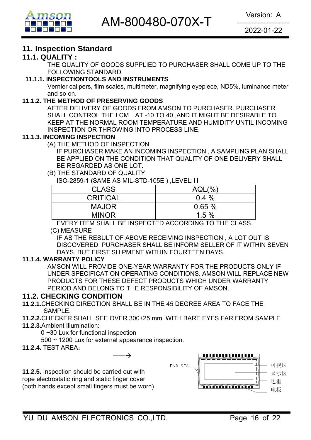

### **11. Inspection Standard**

#### **11.1. QUALITY :**

THE QUALITY OF GOODS SUPPLIED TO PURCHASER SHALL COME UP TO THE FOLLOWING STANDARD.

#### **11.1.1. INSPECTIONTOOLS AND INSTRUMENTS**

Vernier calipers, film scales, multimeter, magnifying eyepiece, ND5%, luminance meter and so on.

#### **11.1.2. THE METHOD OF PRESERVING GOODS**

AFTER DELIVERY OF GOODS FROM AMSON TO PURCHASER. PURCHASER SHALL CONTROL THE LCM AT -10 TO 40 ,AND IT MIGHT BE DESIRABLE TO KEEP AT THE NORMAL ROOM TEMPERATURE AND HUMIDITY UNTIL INCOMING INSPECTION OR THROWING INTO PROCESS LINE.

#### **11.1.3. INCOMING INSPECTION**

(A) THE METHOD OF INSPECTION

 IF PURCHASER MAKE AN INCOMING INSPECTION , A SAMPLING PLAN SHALL BE APPLIED ON THE CONDITION THAT QUALITY OF ONE DELIVERY SHALL BE REGARDED AS ONE LOT.

#### (B) THE STANDARD OF QUALITY

ISO-2859-1 (SAME AS MIL-STD-105E ) ,LEVEL:II

| <b>CLASS</b>    | (%)<br>$AQL($ <sup>o</sup> |
|-----------------|----------------------------|
| <b>CRITICAL</b> | $0.4\%$                    |
| <b>MAJOR</b>    | 0.65%                      |
| <b>MINOR</b>    | 1.5%                       |

EVERY ITEM SHALL BE INSPECTED ACCORDING TO THE CLASS.

#### (C) MEASURE

IF AS THE RESULT OF ABOVE RECEIVING INSPECTION , A LOT OUT IS DISCOVERED. PURCHASER SHALL BE INFORM SELLER OF IT WITHIN SEVEN DAYS. BUT FIRST SHIPMENT WITHIN FOURTEEN DAYS.

#### **11.1.4. WARRANTY POLICY**

AMSON WILL PROVIDE ONE-YEAR WARRANTY FOR THE PRODUCTS ONLY IF UNDER SPECIFICATION OPERATING CONDITIONS. AMSON WILL REPLACE NEW PRODUCTS FOR THESE DEFECT PRODUCTS WHICH UNDER WARRANTY PERIOD AND BELONG TO THE RESPONSIBILITY OF AMSON.

#### **11.2. CHECKING CONDITION**

- **11.2.1.**CHECKING DIRECTION SHALL BE IN THE 45 DEGREE AREA TO FACE THE SAMPLE.
- **11.2.2.**CHECKER SHALL SEE OVER 300±25 mm. WITH BARE EYES FAR FROM SAMPLE
- **11.2.3.**Ambient Illumination:

0 ~30 Lux for functional inspection

500 ~ 1200 Lux for external appearance inspection.

 $\rightarrow$ 

**11.2.4.** TEST AREA:

**11.2.5.** Inspection should be carried out with rope electrostatic ring and static finger cover (both hands except small fingers must be worn)

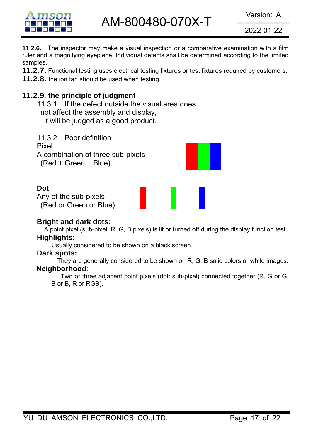

2022-01-22

**11.2.6.** The inspector may make a visual inspection or a comparative examination with a film ruler and a magnifying eyepiece. Individual defects shall be determined according to the limited samples.

**11.2.7.** Functional testing uses electrical testing fixtures or test fixtures required by customers.

**11.2.8.** the ion fan should be used when testing.

## **11.2.9. the principle of judgment**

11.3.1 If the defect outside the visual area does not affect the assembly and display, it will be judged as a good product.

11.3.2 Poor definition Pixel: A combination of three sub-pixels (Red + Green + Blue).

#### **Dot**:

Any of the sub-pixels (Red or Green or Blue).

#### **Bright and dark dots:**

A point pixel (sub-pixel: R, G, B pixels) is lit or turned off during the display function test. **Highlights**:

Usually considered to be shown on a black screen.

#### **Dark spots:**

They are generally considered to be shown on R, G, B solid colors or white images. **Neighborhood**:

Two or three adjacent point pixels (dot: sub-pixel) connected together (R, G or G, B or B, R or RGB).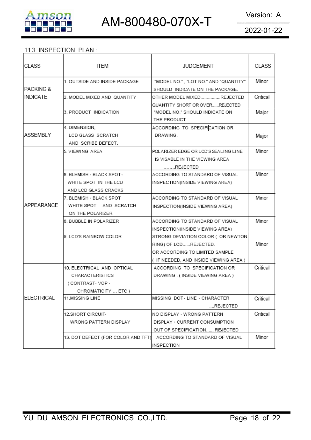

#### 11.3. INSPECTION PLAN:

| CLASS           | ITEM                                                                                   | <b>JUDGEMENT</b>                                                                                                                       | CLASS    |
|-----------------|----------------------------------------------------------------------------------------|----------------------------------------------------------------------------------------------------------------------------------------|----------|
| IPACKING &      | 1. OUTSIDE AND INSIDE PACKAGE                                                          | "MODEL NO.", "LOT NO." AND "QUANTITY"<br>SHOULD INDICATE ON THE PACKAGE.                                                               | Minor    |
| INDICATE        | 2. MODEL MIXED AND QUANTITY                                                            | OTHER MODEL MIXEDREJECTED<br>QUANTITY SHORT OR OVERREJECTED                                                                            | Critical |
|                 | 3. PRODUCT INDICATION                                                                  | "MODEL NO." SHOULD INDICATE ON<br>THE PRODUCT                                                                                          | Major    |
| <b>ASSEMBLY</b> | 4. DIMENSION,<br>LCD GLASS SCRATCH<br>AND SCRIBE DEFECT.                               | ACCORDING TO SPECIFICATION OR<br>DRAWING.                                                                                              | Major    |
|                 | 5. VIEWING AREA                                                                        | POLARIZER EDGE OR LCD'S SEALING LINE<br>IS VISABLE IN THE VIEWING AREA<br>REJECTED                                                     | Minor    |
|                 | 6. BLEMISH - BLACK SPOT -<br>WHITE SPOT IN THE LCD<br>AND LCD GLASS CRACKS             | ACCORDING TO STANDARD OF VISUAL<br>INSPECTION(INSIDE VIEWING AREA)                                                                     | Minor    |
| APPEARANCE      | 7. BLEMISH - BLACK SPOT<br>WHITE SPOT AND SCRATCH<br>ON THE POLARIZER                  | ACCORDING TO STANDARD OF VISUAL<br>INSPECTION(INSIDE VIEWING AREA)                                                                     | Minor    |
|                 | 8. BUBBLE IN POLARIZER                                                                 | ACCORDING TO STANDARD OF VISUAL<br>INSPECTION(INSIDE VIEWING AREA)                                                                     | Minor    |
|                 | 9. LCD'S RAINBOW COLOR                                                                 | STRONG DEVIATION COLOR ( OR NEWTON<br>RING) OF LCDREJECTED.<br>OR ACCORDING TO LIMITED SAMPLE<br>(IF NEEDED, AND INSIDE VIEWING AREA ) | Minor    |
|                 | 10. ELECTRICAL AND OPTICAL<br>CHARACTERISTICS<br>(CONTRAST-VOP-<br>CHROMATICITY  ETC ) | ACCORDING TO SPECIFICATION OR<br>DRAWING . ( INSIDE VIEWING AREA )                                                                     | Critical |
| ELECTRICAL      | <b>11.MISSING LINE</b>                                                                 | MISSING DOT LINE - CHARACTER<br>REJECTED                                                                                               | Critical |
|                 | 12.SHORT CIRCUIT <sub>*</sub><br>WRONG PATTERN DISPLAY                                 | NO DISPLAY - WRONG PATTERN<br>DISPLAY · CURRENT CONSUMPTION<br>OUT OF SPECIFICATION REJECTED                                           | Critical |
|                 | 13. DOT DEFECT (FOR COLOR AND TFT)                                                     | ACCORDING TO STANDARD OF VISUAL<br>INSPECTION                                                                                          | Minor    |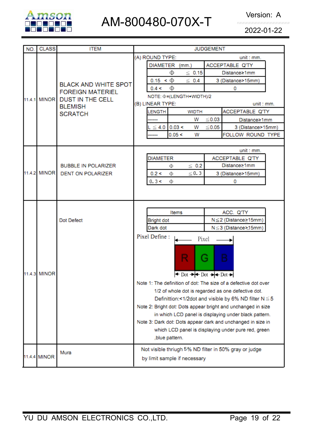

2022-01-22

| NO.          | <b>CLASS</b> | <b>ITEM</b>                                 | <b>JUDGEMENT</b>                                                                                                   |  |  |  |
|--------------|--------------|---------------------------------------------|--------------------------------------------------------------------------------------------------------------------|--|--|--|
|              |              |                                             | (A) ROUND TYPE:<br>unit : mm.                                                                                      |  |  |  |
|              |              | ACCEPTABLE Q'TY<br><b>DIAMETER</b><br>(mm.) |                                                                                                                    |  |  |  |
|              |              |                                             | Φ<br>$\leq 0.15$<br>Distance≥1mm                                                                                   |  |  |  |
|              |              | <b>BLACK AND WHITE SPOT</b>                 | $0.15 < \Phi$<br>$\leq 0.4$<br>3 (Distance>15mm)                                                                   |  |  |  |
|              |              | <b>FOREIGN MATERIEL</b>                     | 0.4 <<br>Φ<br>0                                                                                                    |  |  |  |
|              | 11.4.1 MINOR | <b>DUST IN THE CELL</b>                     | NOTE: $\Phi$ = (LENGTH+WIDTH)/2                                                                                    |  |  |  |
|              |              | <b>BLEMISH</b>                              | (B) LINEAR TYPE:<br>unit : mm.                                                                                     |  |  |  |
|              |              | <b>SCRATCH</b>                              | ACCEPTABLE Q'TY<br><b>LENGTH</b><br><b>WIDTH</b>                                                                   |  |  |  |
|              |              |                                             | w<br>$≤ 0.03$<br>Distance≥1mm                                                                                      |  |  |  |
|              |              |                                             | $\leq$ 4.0 0.03 <<br>≤0.05<br>w<br>3 (Distance>15mm)                                                               |  |  |  |
|              |              |                                             | 0.05 <<br>FOLLOW ROUND TYPE<br>w                                                                                   |  |  |  |
|              |              |                                             |                                                                                                                    |  |  |  |
|              |              |                                             | unit : mm.<br><b>DIAMETER</b><br>ACCEPTABLE Q'TY                                                                   |  |  |  |
|              |              | <b>BUBBLE IN POLARIZER</b>                  | Distance≥1mm<br>$\leq 0.2$<br>Φ                                                                                    |  |  |  |
|              | 11.4.2 MINOR | <b>DENT ON POLARIZER</b>                    | $\leq 0.3$<br>0.2 <<br>3 (Distance>15mm)<br>Φ                                                                      |  |  |  |
|              |              |                                             | 0.3 <<br>Φ<br>0                                                                                                    |  |  |  |
|              |              |                                             |                                                                                                                    |  |  |  |
|              |              |                                             |                                                                                                                    |  |  |  |
|              |              |                                             |                                                                                                                    |  |  |  |
|              |              | Dot Defect                                  | ACC. Q'TY<br>Items                                                                                                 |  |  |  |
|              |              |                                             | N≤2 (Distance≥15mm)<br><b>Bright dot</b>                                                                           |  |  |  |
|              |              |                                             | N≤3 (Distance>15mm)<br>Dark dot                                                                                    |  |  |  |
|              |              |                                             | Pixel Define:<br>Pixel                                                                                             |  |  |  |
|              |              |                                             |                                                                                                                    |  |  |  |
|              |              |                                             |                                                                                                                    |  |  |  |
|              |              |                                             | G<br>в                                                                                                             |  |  |  |
|              |              |                                             |                                                                                                                    |  |  |  |
|              | 11.4.3 MINOR |                                             | $\triangleleft$ Dot $\rightarrow$ $\blacktriangleright$ Dot $\rightarrow$ $\blacktriangleright$ Dot $\rightarrow$  |  |  |  |
|              |              |                                             | Note 1: The definition of dot: The size of a defective dot over                                                    |  |  |  |
|              |              |                                             | 1/2 of whole dot is regarded as one defective dot.                                                                 |  |  |  |
|              |              |                                             | Definittion:<1/2dot and visible by 6% ND filter $N \le 5$                                                          |  |  |  |
|              |              |                                             | Note 2: Bright dot: Dots appear bright and unchanged in size                                                       |  |  |  |
|              |              |                                             | in which LCD panel is displaying under black pattern.                                                              |  |  |  |
|              |              |                                             | Note 3: Dark dot: Dots appear dark and unchanged in size in<br>which LCD panel is displaying under pure red, green |  |  |  |
|              |              |                                             | ,blue pattern.                                                                                                     |  |  |  |
|              |              |                                             |                                                                                                                    |  |  |  |
|              |              | Mura                                        | Not visible thriugh 5% ND filter in 50% gray or judge                                                              |  |  |  |
| 11.4.4 MINOR |              | by limit sample if necessary                |                                                                                                                    |  |  |  |
|              |              |                                             |                                                                                                                    |  |  |  |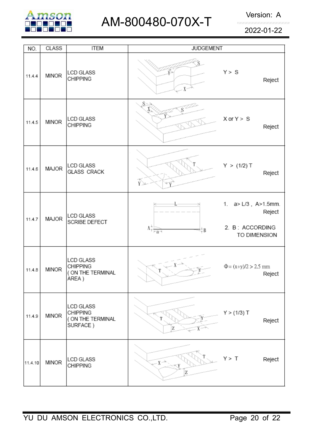

2022-01-22

| NO.     | <b>CLASS</b> | <b>ITEM</b>                                                          | <b>JUDGEMENT</b>                                                                |                                                                           |
|---------|--------------|----------------------------------------------------------------------|---------------------------------------------------------------------------------|---------------------------------------------------------------------------|
| 11.4.4  | <b>MINOR</b> | <b>LCD GLASS</b><br>CHIPPING                                         | $X^{\sim}$                                                                      | Y > S<br>Reject                                                           |
| 11.4.5  | <b>MINOR</b> | <b>LCD GLASS</b><br><b>CHIPPING</b>                                  | S×                                                                              | $X$ or $Y > S$<br>Reject                                                  |
| 11.4.6  | MAJOR        | <b>LCD GLASS</b><br><b>GLASS CRACK</b>                               | Ϋ́                                                                              | Y > (1/2) T<br>Reject                                                     |
| 11.4.7  | MAJOR        | <b>LCD GLASS</b><br>SCRIBE DEFECT                                    | $\Lambda^{+,-}_{\overline{\uparrow}~ -\underline{\mathbf{g}}\rightarrow}$<br>₩₿ | 1. $a > L/3$ , $A > 1.5$ mm.<br>Reject<br>2. B: ACCORDING<br>TO DIMENSION |
| 11.4.8  | <b>MINOR</b> | <b>LCD GLASS</b><br><b>CHIPPING</b><br>( ON THE TERMINAL<br>AREA )   |                                                                                 | $\Phi = (x+y)/2 > 2.5$ mm<br>Reject                                       |
| 11.4.9  | <b>MINOR</b> | <b>LCD GLASS</b><br><b>CHIPPING</b><br>( ON THE TERMINAL<br>SURFACE) | Z                                                                               | Y > (1/3) T<br>Reject                                                     |
| 11.4.10 | <b>MINOR</b> | LCD GLASS<br><b>CHIPPING</b>                                         | $X \rightarrow$<br>Z                                                            | Y > T<br>Reject                                                           |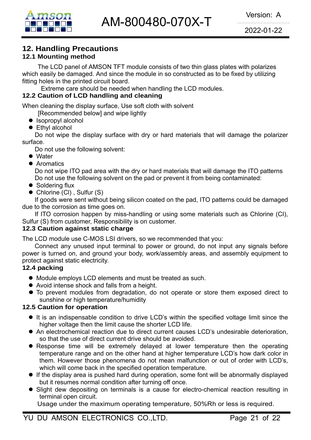

## **12. Handling Precautions**

#### **12.1 Mounting method**

The LCD panel of AMSON TFT module consists of two thin glass plates with polarizes which easily be damaged. And since the module in so constructed as to be fixed by utilizing fitting holes in the printed circuit board.

Extreme care should be needed when handling the LCD modules.

#### **12.2 Caution of LCD handling and cleaning**

When cleaning the display surface, Use soft cloth with solvent

[Recommended below] and wipe lightly

- $\bullet$  Isopropyl alcohol
- $\bullet$  Ethyl alcohol

 Do not wipe the display surface with dry or hard materials that will damage the polarizer surface.

Do not use the following solvent:

- $\bullet$  Water
- **Aromatics**

 Do not wipe ITO pad area with the dry or hard materials that will damage the ITO patterns Do not use the following solvent on the pad or prevent it from being contaminated:

- $\bullet$  Soldering flux
- $\bullet$  Chlorine (CI), Sulfur (S)

If goods were sent without being silicon coated on the pad, ITO patterns could be damaged due to the corrosion as time goes on.

If ITO corrosion happen by miss-handling or using some materials such as Chlorine (CI), Sulfur (S) from customer, Responsibility is on customer.

#### **12.3 Caution against static charge**

The LCD module use C-MOS LSI drivers, so we recommended that you:

Connect any unused input terminal to power or ground, do not input any signals before power is turned on, and ground your body, work/assembly areas, and assembly equipment to protect against static electricity.

#### **12.4 packing**

- Module employs LCD elements and must be treated as such.
- Avoid intense shock and falls from a height.
- $\bullet$  To prevent modules from degradation, do not operate or store them exposed direct to sunshine or high temperature/humidity

#### **12.5 Caution for operation**

- It is an indispensable condition to drive LCD's within the specified voltage limit since the higher voltage then the limit cause the shorter LCD life.
- An electrochemical reaction due to direct current causes LCD's undesirable deterioration, so that the use of direct current drive should be avoided.
- Response time will be extremely delayed at lower temperature then the operating temperature range and on the other hand at higher temperature LCD's how dark color in them. However those phenomena do not mean malfunction or out of order with LCD's, which will come back in the specified operation temperature.
- If the display area is pushed hard during operation, some font will be abnormally displayed but it resumes normal condition after turning off once.
- Slight dew depositing on terminals is a cause for electro-chemical reaction resulting in terminal open circuit.

Usage under the maximum operating temperature, 50%Rh or less is required.